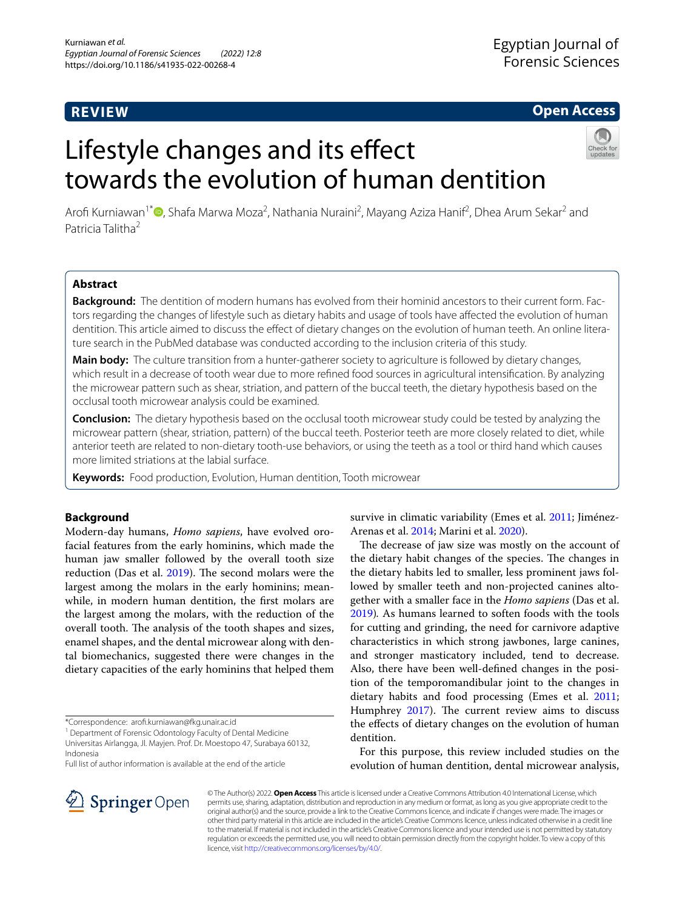## **REVIEW**

## **Open Access**

# Lifestyle changes and its effect towards the evolution of human dentition



Arofi Kurniawan<sup>1\*</sup> (D[,](http://orcid.org/0000-0002-4698-9876) Shafa Marwa Moza<sup>2</sup>, Nathania Nuraini<sup>2</sup>, Mayang Aziza Hanif<sup>2</sup>, Dhea Arum Sekar<sup>2</sup> and Patricia Talitha<sup>2</sup>

## **Abstract**

**Background:** The dentition of modern humans has evolved from their hominid ancestors to their current form. Factors regarding the changes of lifestyle such as dietary habits and usage of tools have afected the evolution of human dentition. This article aimed to discuss the effect of dietary changes on the evolution of human teeth. An online literature search in the PubMed database was conducted according to the inclusion criteria of this study.

**Main body:** The culture transition from a hunter-gatherer society to agriculture is followed by dietary changes, which result in a decrease of tooth wear due to more refned food sources in agricultural intensifcation. By analyzing the microwear pattern such as shear, striation, and pattern of the buccal teeth, the dietary hypothesis based on the occlusal tooth microwear analysis could be examined.

**Conclusion:** The dietary hypothesis based on the occlusal tooth microwear study could be tested by analyzing the microwear pattern (shear, striation, pattern) of the buccal teeth. Posterior teeth are more closely related to diet, while anterior teeth are related to non-dietary tooth-use behaviors, or using the teeth as a tool or third hand which causes more limited striations at the labial surface.

**Keywords:** Food production, Evolution, Human dentition, Tooth microwear

## **Background**

Modern-day humans, *Homo sapiens*, have evolved orofacial features from the early hominins, which made the human jaw smaller followed by the overall tooth size reduction (Das et al. [2019\)](#page-4-0). The second molars were the largest among the molars in the early hominins; meanwhile, in modern human dentition, the frst molars are the largest among the molars, with the reduction of the overall tooth. The analysis of the tooth shapes and sizes, enamel shapes, and the dental microwear along with dental biomechanics, suggested there were changes in the dietary capacities of the early hominins that helped them

Full list of author information is available at the end of the article

survive in climatic variability (Emes et al. [2011](#page-4-1); Jiménez-Arenas et al. [2014](#page-4-2); Marini et al. [2020\)](#page-4-3).

The decrease of jaw size was mostly on the account of the dietary habit changes of the species. The changes in the dietary habits led to smaller, less prominent jaws followed by smaller teeth and non-projected canines altogether with a smaller face in the *Homo sapiens* (Das et al. [2019](#page-4-0))*.* As humans learned to soften foods with the tools for cutting and grinding, the need for carnivore adaptive characteristics in which strong jawbones, large canines, and stronger masticatory included, tend to decrease. Also, there have been well-defned changes in the position of the temporomandibular joint to the changes in dietary habits and food processing (Emes et al. [2011](#page-4-1); Humphrey  $2017$ ). The current review aims to discuss the efects of dietary changes on the evolution of human dentition.

For this purpose, this review included studies on the evolution of human dentition, dental microwear analysis,



© The Author(s) 2022. **Open Access** This article is licensed under a Creative Commons Attribution 4.0 International License, which permits use, sharing, adaptation, distribution and reproduction in any medium or format, as long as you give appropriate credit to the original author(s) and the source, provide a link to the Creative Commons licence, and indicate if changes were made. The images or other third party material in this article are included in the article's Creative Commons licence, unless indicated otherwise in a credit line to the material. If material is not included in the article's Creative Commons licence and your intended use is not permitted by statutory regulation or exceeds the permitted use, you will need to obtain permission directly from the copyright holder. To view a copy of this licence, visit [http://creativecommons.org/licenses/by/4.0/.](http://creativecommons.org/licenses/by/4.0/)

<sup>\*</sup>Correspondence: arof.kurniawan@fkg.unair.ac.id

<sup>&</sup>lt;sup>1</sup> Department of Forensic Odontology Faculty of Dental Medicine Universitas Airlangga, Jl. Mayjen. Prof. Dr. Moestopo 47, Surabaya 60132, Indonesia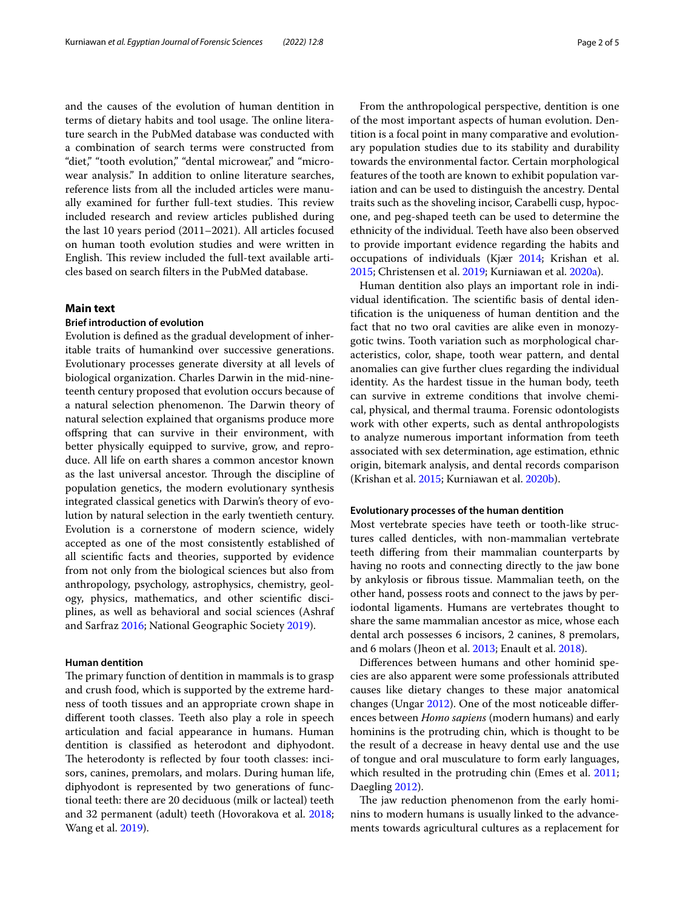and the causes of the evolution of human dentition in terms of dietary habits and tool usage. The online literature search in the PubMed database was conducted with a combination of search terms were constructed from "diet," "tooth evolution," "dental microwear," and "microwear analysis." In addition to online literature searches, reference lists from all the included articles were manually examined for further full-text studies. This review included research and review articles published during the last 10 years period (2011–2021). All articles focused on human tooth evolution studies and were written in English. This review included the full-text available articles based on search flters in the PubMed database.

## **Main text**

## **Brief introduction of evolution**

Evolution is defned as the gradual development of inheritable traits of humankind over successive generations. Evolutionary processes generate diversity at all levels of biological organization. Charles Darwin in the mid-nineteenth century proposed that evolution occurs because of a natural selection phenomenon. The Darwin theory of natural selection explained that organisms produce more ofspring that can survive in their environment, with better physically equipped to survive, grow, and reproduce. All life on earth shares a common ancestor known as the last universal ancestor. Through the discipline of population genetics, the modern evolutionary synthesis integrated classical genetics with Darwin's theory of evolution by natural selection in the early twentieth century. Evolution is a cornerstone of modern science, widely accepted as one of the most consistently established of all scientifc facts and theories, supported by evidence from not only from the biological sciences but also from anthropology, psychology, astrophysics, chemistry, geology, physics, mathematics, and other scientifc disciplines, as well as behavioral and social sciences (Ashraf and Sarfraz [2016](#page-4-5); National Geographic Society [2019](#page-4-6)).

## **Human dentition**

The primary function of dentition in mammals is to grasp and crush food, which is supported by the extreme hardness of tooth tissues and an appropriate crown shape in diferent tooth classes. Teeth also play a role in speech articulation and facial appearance in humans. Human dentition is classifed as heterodont and diphyodont. The heterodonty is reflected by four tooth classes: incisors, canines, premolars, and molars. During human life, diphyodont is represented by two generations of functional teeth: there are 20 deciduous (milk or lacteal) teeth and 32 permanent (adult) teeth (Hovorakova et al. [2018](#page-4-7); Wang et al. [2019](#page-4-8)).

From the anthropological perspective, dentition is one of the most important aspects of human evolution. Dentition is a focal point in many comparative and evolutionary population studies due to its stability and durability towards the environmental factor. Certain morphological features of the tooth are known to exhibit population variation and can be used to distinguish the ancestry. Dental traits such as the shoveling incisor, Carabelli cusp, hypocone, and peg-shaped teeth can be used to determine the ethnicity of the individual. Teeth have also been observed to provide important evidence regarding the habits and occupations of individuals (Kjær [2014](#page-4-9); Krishan et al. [2015](#page-4-10); Christensen et al. [2019;](#page-4-11) Kurniawan et al. [2020a](#page-4-12)).

Human dentition also plays an important role in individual identification. The scientific basis of dental identifcation is the uniqueness of human dentition and the fact that no two oral cavities are alike even in monozygotic twins. Tooth variation such as morphological characteristics, color, shape, tooth wear pattern, and dental anomalies can give further clues regarding the individual identity. As the hardest tissue in the human body, teeth can survive in extreme conditions that involve chemical, physical, and thermal trauma. Forensic odontologists work with other experts, such as dental anthropologists to analyze numerous important information from teeth associated with sex determination, age estimation, ethnic origin, bitemark analysis, and dental records comparison (Krishan et al. [2015;](#page-4-10) Kurniawan et al. [2020b](#page-4-13)).

#### **Evolutionary processes of the human dentition**

Most vertebrate species have teeth or tooth-like structures called denticles, with non-mammalian vertebrate teeth difering from their mammalian counterparts by having no roots and connecting directly to the jaw bone by ankylosis or fbrous tissue. Mammalian teeth, on the other hand, possess roots and connect to the jaws by periodontal ligaments. Humans are vertebrates thought to share the same mammalian ancestor as mice, whose each dental arch possesses 6 incisors, 2 canines, 8 premolars, and 6 molars (Jheon et al. [2013;](#page-4-14) Enault et al. [2018](#page-4-15)).

Diferences between humans and other hominid species are also apparent were some professionals attributed causes like dietary changes to these major anatomical changes (Ungar [2012](#page-4-16)). One of the most noticeable diferences between *Homo sapiens* (modern humans) and early hominins is the protruding chin, which is thought to be the result of a decrease in heavy dental use and the use of tongue and oral musculature to form early languages, which resulted in the protruding chin (Emes et al. [2011](#page-4-1); Daegling [2012](#page-4-17)).

The jaw reduction phenomenon from the early hominins to modern humans is usually linked to the advancements towards agricultural cultures as a replacement for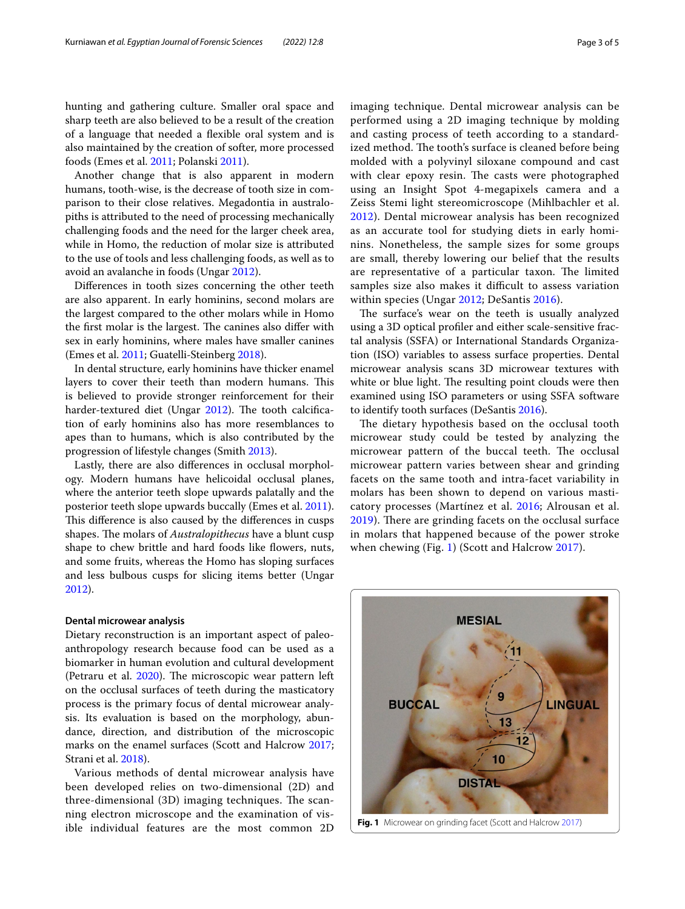hunting and gathering culture. Smaller oral space and sharp teeth are also believed to be a result of the creation of a language that needed a fexible oral system and is also maintained by the creation of softer, more processed foods (Emes et al. [2011](#page-4-1); Polanski [2011](#page-4-18)).

Another change that is also apparent in modern humans, tooth-wise, is the decrease of tooth size in comparison to their close relatives. Megadontia in australopiths is attributed to the need of processing mechanically challenging foods and the need for the larger cheek area, while in Homo, the reduction of molar size is attributed to the use of tools and less challenging foods, as well as to avoid an avalanche in foods (Ungar [2012\)](#page-4-16).

Diferences in tooth sizes concerning the other teeth are also apparent. In early hominins, second molars are the largest compared to the other molars while in Homo the first molar is the largest. The canines also differ with sex in early hominins, where males have smaller canines (Emes et al. [2011;](#page-4-1) Guatelli-Steinberg [2018](#page-4-19)).

In dental structure, early hominins have thicker enamel layers to cover their teeth than modern humans. This is believed to provide stronger reinforcement for their harder-textured diet (Ungar [2012](#page-4-16)). The tooth calcification of early hominins also has more resemblances to apes than to humans, which is also contributed by the progression of lifestyle changes (Smith [2013\)](#page-4-20).

Lastly, there are also diferences in occlusal morphology. Modern humans have helicoidal occlusal planes, where the anterior teeth slope upwards palatally and the posterior teeth slope upwards buccally (Emes et al. [2011](#page-4-1)). This difference is also caused by the differences in cusps shapes. The molars of *Australopithecus* have a blunt cusp shape to chew brittle and hard foods like flowers, nuts, and some fruits, whereas the Homo has sloping surfaces and less bulbous cusps for slicing items better (Ungar [2012](#page-4-16)).

## **Dental microwear analysis**

Dietary reconstruction is an important aspect of paleoanthropology research because food can be used as a biomarker in human evolution and cultural development (Petraru et al. [2020](#page-4-21)). The microscopic wear pattern left on the occlusal surfaces of teeth during the masticatory process is the primary focus of dental microwear analysis. Its evaluation is based on the morphology, abundance, direction, and distribution of the microscopic marks on the enamel surfaces (Scott and Halcrow [2017](#page-4-22); Strani et al. [2018\)](#page-4-23).

Various methods of dental microwear analysis have been developed relies on two-dimensional (2D) and three-dimensional (3D) imaging techniques. The scanning electron microscope and the examination of visible individual features are the most common 2D imaging technique. Dental microwear analysis can be performed using a 2D imaging technique by molding and casting process of teeth according to a standardized method. The tooth's surface is cleaned before being molded with a polyvinyl siloxane compound and cast with clear epoxy resin. The casts were photographed using an Insight Spot 4-megapixels camera and a Zeiss Stemi light stereomicroscope (Mihlbachler et al. [2012\)](#page-4-24). Dental microwear analysis has been recognized as an accurate tool for studying diets in early hominins. Nonetheless, the sample sizes for some groups are small, thereby lowering our belief that the results are representative of a particular taxon. The limited samples size also makes it difficult to assess variation within species (Ungar [2012](#page-4-16); DeSantis [2016](#page-4-25)).

The surface's wear on the teeth is usually analyzed using a 3D optical profler and either scale-sensitive fractal analysis (SSFA) or International Standards Organization (ISO) variables to assess surface properties. Dental microwear analysis scans 3D microwear textures with white or blue light. The resulting point clouds were then examined using ISO parameters or using SSFA software to identify tooth surfaces (DeSantis [2016\)](#page-4-25).

The dietary hypothesis based on the occlusal tooth microwear study could be tested by analyzing the microwear pattern of the buccal teeth. The occlusal microwear pattern varies between shear and grinding facets on the same tooth and intra-facet variability in molars has been shown to depend on various masticatory processes (Martínez et al. [2016](#page-4-26); Alrousan et al. [2019\)](#page-4-27). There are grinding facets on the occlusal surface in molars that happened because of the power stroke when chewing (Fig. [1\)](#page-2-0) (Scott and Halcrow [2017\)](#page-4-22).



<span id="page-2-0"></span>**Fig. 1** Microwear on grinding facet (Scott and Halcrow [2017](#page-4-22))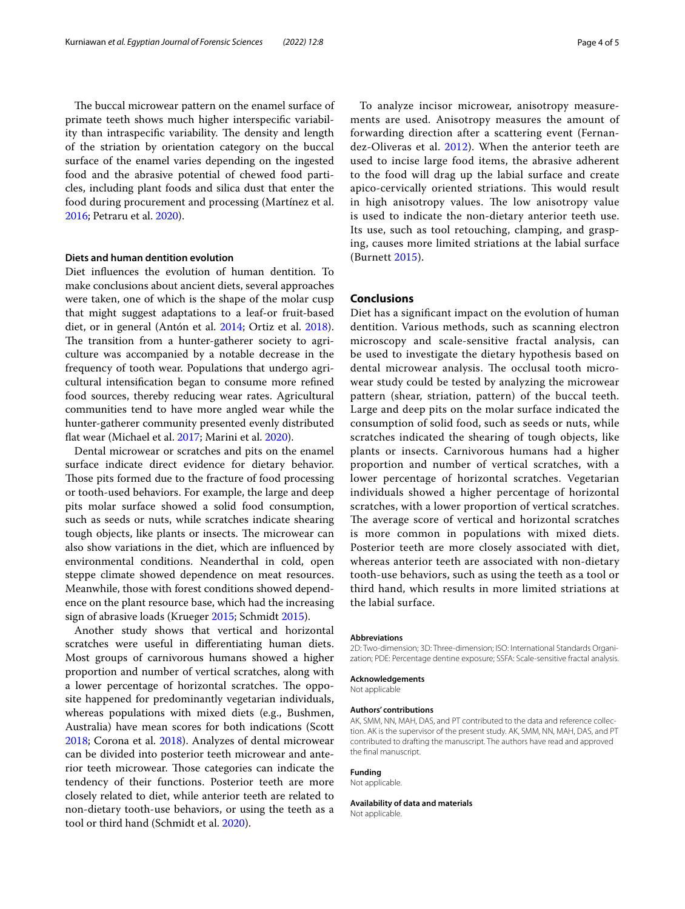The buccal microwear pattern on the enamel surface of primate teeth shows much higher interspecifc variability than intraspecific variability. The density and length of the striation by orientation category on the buccal surface of the enamel varies depending on the ingested food and the abrasive potential of chewed food particles, including plant foods and silica dust that enter the food during procurement and processing (Martínez et al. [2016](#page-4-26); Petraru et al. [2020](#page-4-21)).

## **Diets and human dentition evolution**

Diet infuences the evolution of human dentition. To make conclusions about ancient diets, several approaches were taken, one of which is the shape of the molar cusp that might suggest adaptations to a leaf-or fruit-based diet, or in general (Antón et al. [2014;](#page-4-28) Ortiz et al. [2018](#page-4-29)). The transition from a hunter-gatherer society to agriculture was accompanied by a notable decrease in the frequency of tooth wear. Populations that undergo agricultural intensifcation began to consume more refned food sources, thereby reducing wear rates. Agricultural communities tend to have more angled wear while the hunter-gatherer community presented evenly distributed fat wear (Michael et al. [2017;](#page-4-30) Marini et al. [2020](#page-4-3)).

Dental microwear or scratches and pits on the enamel surface indicate direct evidence for dietary behavior. Those pits formed due to the fracture of food processing or tooth-used behaviors. For example, the large and deep pits molar surface showed a solid food consumption, such as seeds or nuts, while scratches indicate shearing tough objects, like plants or insects. The microwear can also show variations in the diet, which are infuenced by environmental conditions. Neanderthal in cold, open steppe climate showed dependence on meat resources. Meanwhile, those with forest conditions showed dependence on the plant resource base, which had the increasing sign of abrasive loads (Krueger [2015;](#page-4-31) Schmidt [2015\)](#page-4-32).

Another study shows that vertical and horizontal scratches were useful in diferentiating human diets. Most groups of carnivorous humans showed a higher proportion and number of vertical scratches, along with a lower percentage of horizontal scratches. The opposite happened for predominantly vegetarian individuals, whereas populations with mixed diets (e.g., Bushmen, Australia) have mean scores for both indications (Scott [2018](#page-4-33); Corona et al. [2018](#page-4-34)). Analyzes of dental microwear can be divided into posterior teeth microwear and anterior teeth microwear. Those categories can indicate the tendency of their functions. Posterior teeth are more closely related to diet, while anterior teeth are related to non-dietary tooth-use behaviors, or using the teeth as a tool or third hand (Schmidt et al. [2020\)](#page-4-35).

To analyze incisor microwear, anisotropy measurements are used. Anisotropy measures the amount of forwarding direction after a scattering event (Fernandez-Oliveras et al. [2012\)](#page-4-36). When the anterior teeth are used to incise large food items, the abrasive adherent to the food will drag up the labial surface and create apico-cervically oriented striations. This would result in high anisotropy values. The low anisotropy value is used to indicate the non-dietary anterior teeth use. Its use, such as tool retouching, clamping, and grasping, causes more limited striations at the labial surface (Burnett [2015](#page-4-37)).

## **Conclusions**

Diet has a signifcant impact on the evolution of human dentition. Various methods, such as scanning electron microscopy and scale-sensitive fractal analysis, can be used to investigate the dietary hypothesis based on dental microwear analysis. The occlusal tooth microwear study could be tested by analyzing the microwear pattern (shear, striation, pattern) of the buccal teeth. Large and deep pits on the molar surface indicated the consumption of solid food, such as seeds or nuts, while scratches indicated the shearing of tough objects, like plants or insects. Carnivorous humans had a higher proportion and number of vertical scratches, with a lower percentage of horizontal scratches. Vegetarian individuals showed a higher percentage of horizontal scratches, with a lower proportion of vertical scratches. The average score of vertical and horizontal scratches is more common in populations with mixed diets. Posterior teeth are more closely associated with diet, whereas anterior teeth are associated with non-dietary tooth-use behaviors, such as using the teeth as a tool or third hand, which results in more limited striations at the labial surface.

#### **Abbreviations**

2D: Two-dimension; 3D: Three-dimension; ISO: International Standards Organization; PDE: Percentage dentine exposure; SSFA: Scale-sensitive fractal analysis.

#### **Acknowledgements**

Not applicable

#### **Authors' contributions**

AK, SMM, NN, MAH, DAS, and PT contributed to the data and reference collection. AK is the supervisor of the present study. AK, SMM, NN, MAH, DAS, and PT contributed to drafting the manuscript. The authors have read and approved the fnal manuscript.

#### **Funding**

Not applicable.

**Availability of data and materials**

Not applicable.